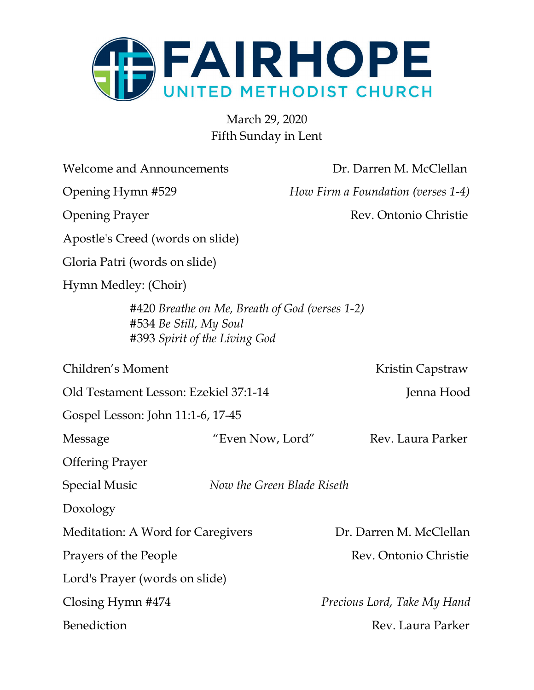

March 29, 2020 Fifth Sunday in Lent

| <b>Welcome and Announcements</b>                        |                                                | Dr. Darren M. McClellan            |
|---------------------------------------------------------|------------------------------------------------|------------------------------------|
| Opening Hymn #529                                       |                                                | How Firm a Foundation (verses 1-4) |
| <b>Opening Prayer</b>                                   |                                                | Rev. Ontonio Christie              |
| Apostle's Creed (words on slide)                        |                                                |                                    |
| Gloria Patri (words on slide)                           |                                                |                                    |
| Hymn Medley: (Choir)                                    |                                                |                                    |
| #534 Be Still, My Soul<br>#393 Spirit of the Living God | #420 Breathe on Me, Breath of God (verses 1-2) |                                    |
| Children's Moment                                       |                                                | Kristin Capstraw                   |
| Old Testament Lesson: Ezekiel 37:1-14                   |                                                | Jenna Hood                         |
| Gospel Lesson: John 11:1-6, 17-45                       |                                                |                                    |
| Message                                                 | "Even Now, Lord"                               | Rev. Laura Parker                  |
| <b>Offering Prayer</b>                                  |                                                |                                    |
| <b>Special Music</b>                                    | Now the Green Blade Riseth                     |                                    |
| Doxology                                                |                                                |                                    |
| Meditation: A Word for Caregivers                       |                                                | Dr. Darren M. McClellan            |
| Prayers of the People                                   |                                                | Rev. Ontonio Christie              |
| Lord's Prayer (words on slide)                          |                                                |                                    |
| Closing Hymn #474                                       |                                                | Precious Lord, Take My Hand        |
| Benediction                                             |                                                | Rev. Laura Parker                  |